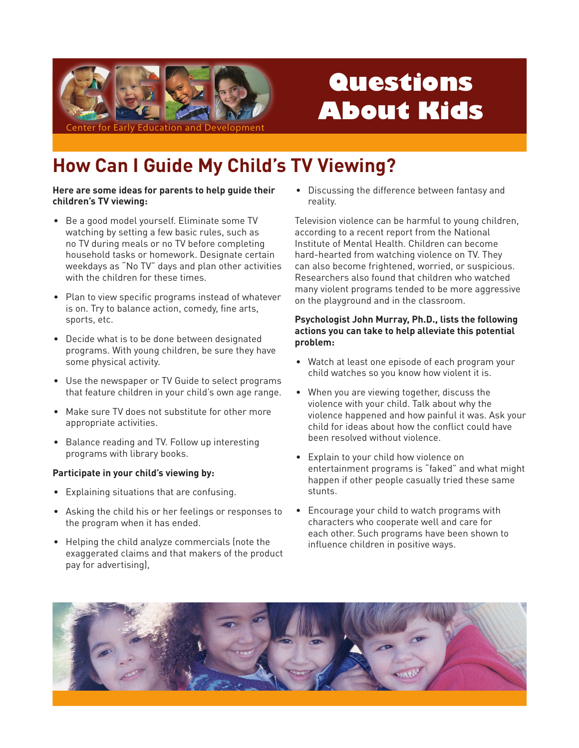

# Questions **About Kids**

## **How Can I Guide My Child's TV Viewing?**

#### Here are some ideas for parents to help guide their children's TV viewing:

- Be a good model yourself. Eliminate some TV watching by setting a few basic rules, such as no TV during meals or no TV before completing household tasks or homework. Designate certain weekdays as "No TV" days and plan other activities with the children for these times.
- Plan to view specific programs instead of whatever is on. Try to balance action, comedy, fine arts, sports, etc.
- Decide what is to be done between designated programs. With young children, be sure they have some physical activity.
- Use the newspaper or TV Guide to select programs that feature children in your child's own age range.
- Make sure TV does not substitute for other more appropriate activities.
- Balance reading and TV. Follow up interesting programs with library books.

#### Participate in your child's viewing by:

- Explaining situations that are confusing.
- Asking the child his or her feelings or responses to the program when it has ended.
- Helping the child analyze commercials (note the exaggerated claims and that makers of the product pay for advertising),

• Discussing the difference between fantasy and reality.

Television violence can be harmful to young children. according to a recent report from the National Institute of Mental Health. Children can become hard-hearted from watching violence on TV. They can also become frightened, worried, or suspicious. Researchers also found that children who watched many violent programs tended to be more aggressive on the playground and in the classroom.

#### Psychologist John Murray, Ph.D., lists the following actions you can take to help alleviate this potential problem:

- Watch at least one episode of each program your child watches so you know how violent it is.
- When you are viewing together, discuss the violence with your child. Talk about why the violence happened and how painful it was. Ask your child for ideas about how the conflict could have heen resolved without violence
- Explain to your child how violence on entertainment programs is "faked" and what might happen if other people casually tried these same stunts.
- Encourage your child to watch programs with characters who cooperate well and care for each other. Such programs have been shown to influence children in positive ways.